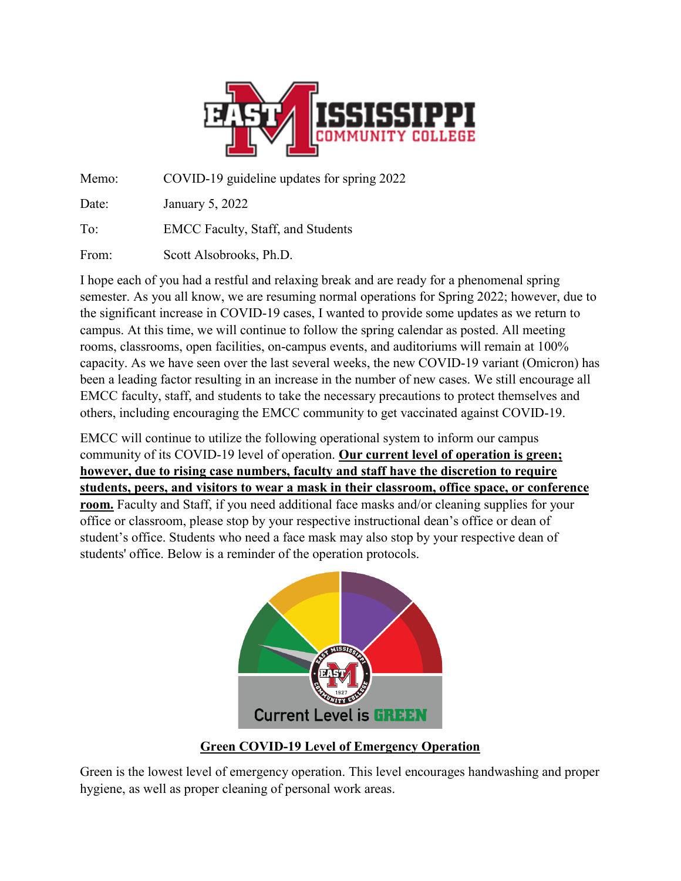

Memo: COVID-19 guideline updates for spring 2022

Date: January 5, 2022

To: EMCC Faculty, Staff, and Students

From: Scott Alsobrooks, Ph.D.

I hope each of you had a restful and relaxing break and are ready for a phenomenal spring semester. As you all know, we are resuming normal operations for Spring 2022; however, due to the significant increase in COVID-19 cases, I wanted to provide some updates as we return to campus. At this time, we will continue to follow the spring calendar as posted. All meeting rooms, classrooms, open facilities, on-campus events, and auditoriums will remain at 100% capacity. As we have seen over the last several weeks, the new COVID-19 variant (Omicron) has been a leading factor resulting in an increase in the number of new cases. We still encourage all EMCC faculty, staff, and students to take the necessary precautions to protect themselves and others, including encouraging the EMCC community to get vaccinated against COVID-19.

EMCC will continue to utilize the following operational system to inform our campus community of its COVID-19 level of operation. **Our current level of operation is green; however, due to rising case numbers, faculty and staff have the discretion to require students, peers, and visitors to wear a mask in their classroom, office space, or conference room.** Faculty and Staff, if you need additional face masks and/or cleaning supplies for your office or classroom, please stop by your respective instructional dean's office or dean of student's office. Students who need a face mask may also stop by your respective dean of students' office. Below is a reminder of the operation protocols.



# **Green COVID-19 Level of Emergency Operation**

Green is the lowest level of emergency operation. This level encourages handwashing and proper hygiene, as well as proper cleaning of personal work areas.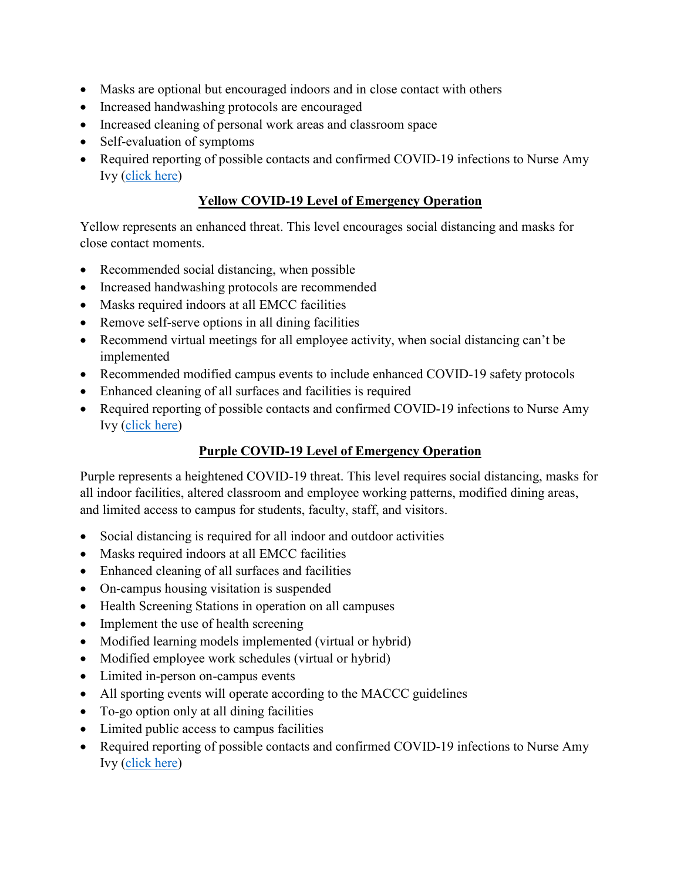- Masks are optional but encouraged indoors and in close contact with others
- Increased handwashing protocols are encouraged
- Increased cleaning of personal work areas and classroom space
- Self-evaluation of symptoms
- Required reporting of possible contacts and confirmed COVID-19 infections to Nurse Amy Ivy [\(click here\)](https://fs26.formsite.com/EastMS/oxf7wbx0uj/index.html)

### **Yellow COVID-19 Level of Emergency Operation**

Yellow represents an enhanced threat. This level encourages social distancing and masks for close contact moments.

- Recommended social distancing, when possible
- Increased handwashing protocols are recommended
- Masks required indoors at all EMCC facilities
- Remove self-serve options in all dining facilities
- Recommend virtual meetings for all employee activity, when social distancing can't be implemented
- Recommended modified campus events to include enhanced COVID-19 safety protocols
- Enhanced cleaning of all surfaces and facilities is required
- Required reporting of possible contacts and confirmed COVID-19 infections to Nurse Amy Ivy [\(click here\)](https://fs26.formsite.com/EastMS/oxf7wbx0uj/index.html)

# **Purple COVID-19 Level of Emergency Operation**

Purple represents a heightened COVID-19 threat. This level requires social distancing, masks for all indoor facilities, altered classroom and employee working patterns, modified dining areas, and limited access to campus for students, faculty, staff, and visitors.

- Social distancing is required for all indoor and outdoor activities
- Masks required indoors at all EMCC facilities
- Enhanced cleaning of all surfaces and facilities
- On-campus housing visitation is suspended
- Health Screening Stations in operation on all campuses
- Implement the use of health screening
- Modified learning models implemented (virtual or hybrid)
- Modified employee work schedules (virtual or hybrid)
- Limited in-person on-campus events
- All sporting events will operate according to the MACCC guidelines
- To-go option only at all dining facilities
- Limited public access to campus facilities
- Required reporting of possible contacts and confirmed COVID-19 infections to Nurse Amy Ivy [\(click here\)](https://fs26.formsite.com/EastMS/oxf7wbx0uj/index.html)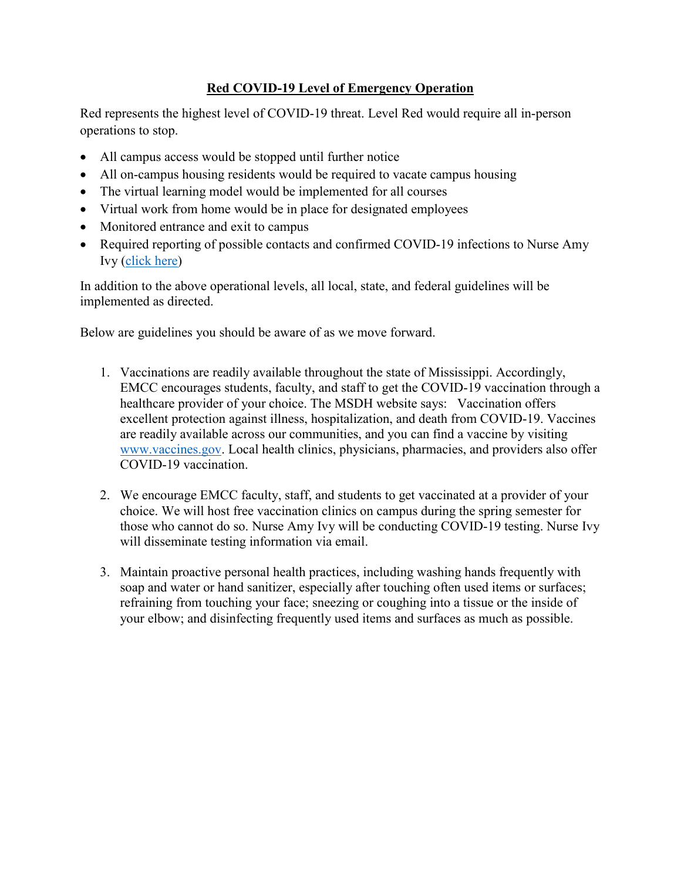# **Red COVID-19 Level of Emergency Operation**

Red represents the highest level of COVID-19 threat. Level Red would require all in-person operations to stop.

- All campus access would be stopped until further notice
- All on-campus housing residents would be required to vacate campus housing
- The virtual learning model would be implemented for all courses
- Virtual work from home would be in place for designated employees
- Monitored entrance and exit to campus
- Required reporting of possible contacts and confirmed COVID-19 infections to Nurse Amy Ivy [\(click here\)](https://fs26.formsite.com/EastMS/oxf7wbx0uj/index.html)

In addition to the above operational levels, all local, state, and federal guidelines will be implemented as directed.

Below are guidelines you should be aware of as we move forward.

- 1. Vaccinations are readily available throughout the state of Mississippi. Accordingly, EMCC encourages students, faculty, and staff to get the COVID-19 vaccination through a healthcare provider of your choice. The MSDH website says: Vaccination offers excellent protection against illness, hospitalization, and death from COVID-19. Vaccines are readily available across our communities, and you can find a vaccine by visiting [www.vaccines.gov.](http://www.vaccines.gov/) Local health clinics, physicians, pharmacies, and providers also offer COVID-19 vaccination.
- 2. We encourage EMCC faculty, staff, and students to get vaccinated at a provider of your choice. We will host free vaccination clinics on campus during the spring semester for those who cannot do so. Nurse Amy Ivy will be conducting COVID-19 testing. Nurse Ivy will disseminate testing information via email.
- 3. Maintain proactive personal health practices, including washing hands frequently with soap and water or hand sanitizer, especially after touching often used items or surfaces; refraining from touching your face; sneezing or coughing into a tissue or the inside of your elbow; and disinfecting frequently used items and surfaces as much as possible.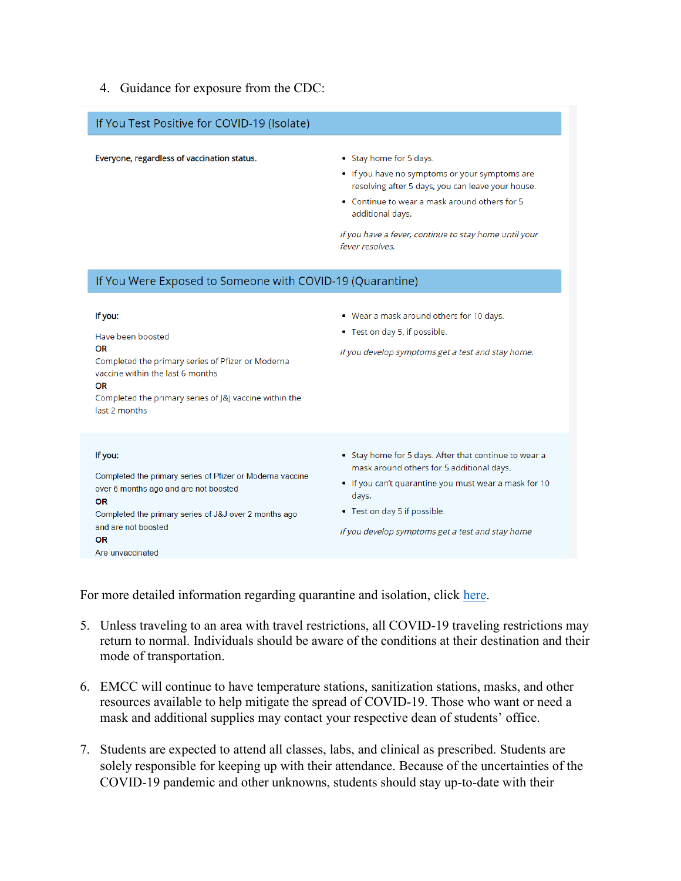#### 4. Guidance for exposure from the CDC:

#### If You Test Positive for COVID-19 (Isolate)

Everyone, regardless of vaccination status.

- Stay home for 5 days.
- . If you have no symptoms or your symptoms are resolving after 5 days, you can leave your house.
- Continue to wear a mask around others for 5 additional days.

If you have a fever, continue to stay home until your fever resolves.

#### If You Were Exposed to Someone with COVID-19 (Quarantine)

| If you:<br>Have been boosted<br>OR<br>Completed the primary series of Pfizer or Moderna<br>vaccine within the last 6 months<br>OR<br>Completed the primary series of J&J vaccine within the<br>last 2 months                         | • Wear a mask around others for 10 days.<br>• Test on day 5, if possible.<br>If you develop symptoms get a test and stay home.                                                                                                                           |
|--------------------------------------------------------------------------------------------------------------------------------------------------------------------------------------------------------------------------------------|----------------------------------------------------------------------------------------------------------------------------------------------------------------------------------------------------------------------------------------------------------|
| If you:<br>Completed the primary series of Pfizer or Moderna vaccine<br>over 6 months ago and are not boosted<br><b>OR</b><br>Completed the primary series of J&J over 2 months ago<br>and are not boosted<br>OR<br>Are unvaccinated | • Stay home for 5 days. After that continue to wear a<br>mask around others for 5 additional days.<br>• If you can't quarantine you must wear a mask for 10<br>days.<br>• Test on day 5 if possible.<br>If you develop symptoms get a test and stay home |

For more detailed information regarding quarantine and isolation, click [here.](https://www.cdc.gov/coronavirus/2019-ncov/your-health/quarantine-isolation.html#isolation)

- 5. Unless traveling to an area with travel restrictions, all COVID-19 traveling restrictions may return to normal. Individuals should be aware of the conditions at their destination and their mode of transportation.
- 6. EMCC will continue to have temperature stations, sanitization stations, masks, and other resources available to help mitigate the spread of COVID-19. Those who want or need a mask and additional supplies may contact your respective dean of students' office.
- 7. Students are expected to attend all classes, labs, and clinical as prescribed. Students are solely responsible for keeping up with their attendance. Because of the uncertainties of the COVID-19 pandemic and other unknowns, students should stay up-to-date with their